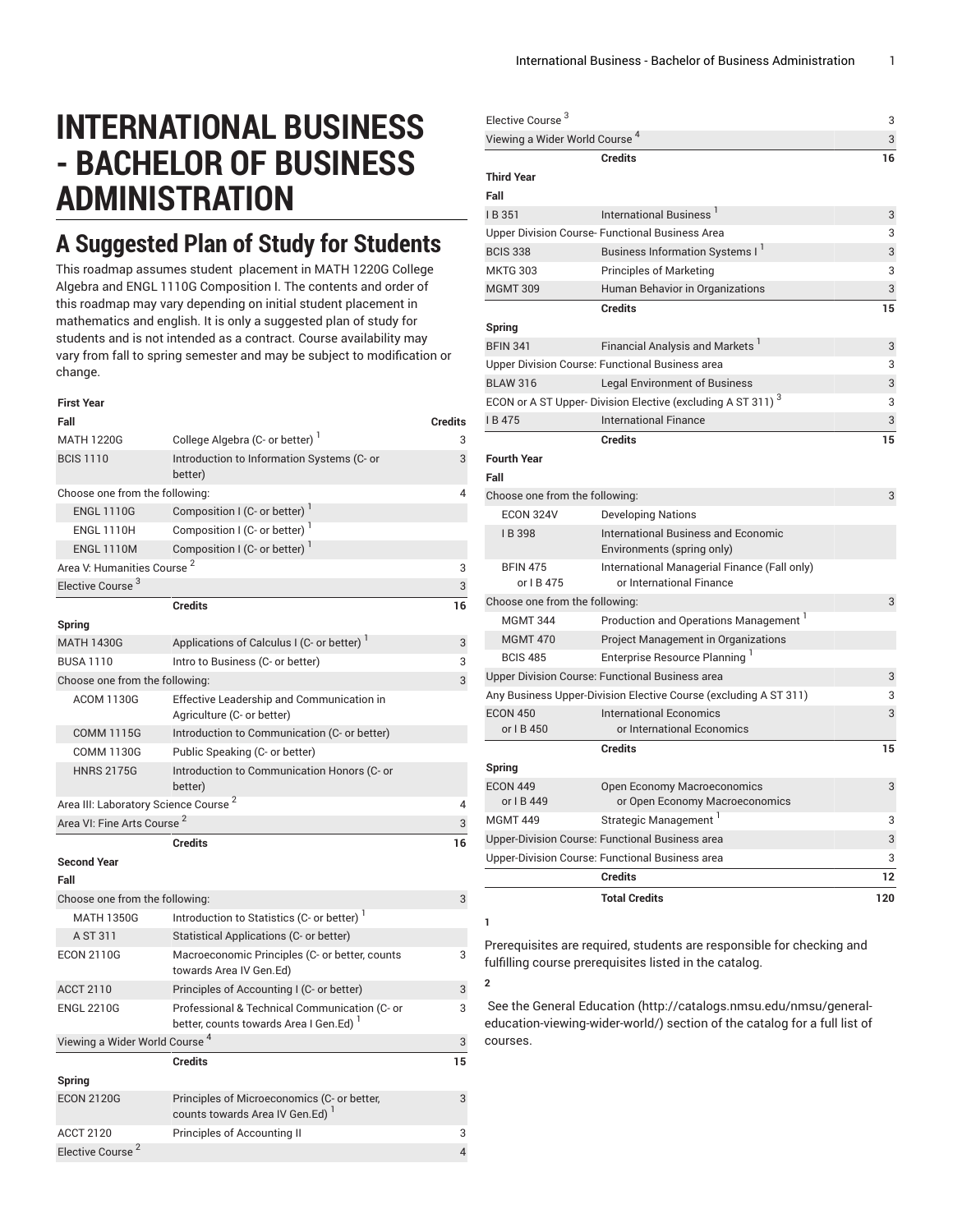# **INTERNATIONAL BUSINESS - BACHELOR OF BUSINESS ADMINISTRATION**

## **A Suggested Plan of Study for Students**

This roadmap assumes student placement in MATH 1220G College Algebra and ENGL 1110G Composition I. The contents and order of this roadmap may vary depending on initial student placement in mathematics and english. It is only a suggested plan of study for students and is not intended as a contract. Course availability may vary from fall to spring semester and may be subject to modification or change.

| First Year                                       |                                                                                        |                |
|--------------------------------------------------|----------------------------------------------------------------------------------------|----------------|
| Fall                                             |                                                                                        | <b>Credits</b> |
| <b>MATH 1220G</b>                                | College Algebra (C- or better)                                                         | 3              |
| <b>BCIS 1110</b>                                 | Introduction to Information Systems (C- or<br>better)                                  | 3              |
| Choose one from the following:                   |                                                                                        |                |
| <b>ENGL 1110G</b>                                | Composition I (C- or better)                                                           |                |
| <b>ENGL 1110H</b>                                | Composition I (C- or better) <sup>1</sup>                                              |                |
| <b>ENGL 1110M</b>                                | Composition I (C- or better)                                                           |                |
| Area V: Humanities Course <sup>2</sup>           |                                                                                        | 3              |
| Elective Course <sup>3</sup>                     |                                                                                        | 3              |
|                                                  | <b>Credits</b>                                                                         | 16             |
| Spring                                           |                                                                                        |                |
| <b>MATH 1430G</b>                                | Applications of Calculus I (C- or better)                                              | 3              |
| <b>BUSA 1110</b>                                 | Intro to Business (C- or better)                                                       | 3              |
| Choose one from the following:                   |                                                                                        | 3              |
| <b>ACOM 1130G</b>                                | Effective Leadership and Communication in<br>Agriculture (C- or better)                |                |
| <b>COMM 1115G</b>                                | Introduction to Communication (C- or better)                                           |                |
| <b>COMM 1130G</b>                                | Public Speaking (C- or better)                                                         |                |
| <b>HNRS 2175G</b>                                | Introduction to Communication Honors (C- or<br>better)                                 |                |
| Area III: Laboratory Science Course <sup>2</sup> |                                                                                        | $\overline{4}$ |
| Area VI: Fine Arts Course <sup>2</sup>           |                                                                                        | 3              |
|                                                  | <b>Credits</b>                                                                         | 16             |
| <b>Second Year</b><br>Fall                       |                                                                                        |                |
| Choose one from the following:                   |                                                                                        | 3              |
| <b>MATH 1350G</b>                                | Introduction to Statistics (C- or better) <sup>1</sup>                                 |                |
| A ST 311                                         | Statistical Applications (C- or better)                                                |                |
| <b>ECON 2110G</b>                                | Macroeconomic Principles (C- or better, counts<br>towards Area IV Gen.Ed)              | 3              |
| <b>ACCT 2110</b>                                 | Principles of Accounting I (C- or better)                                              | 3              |
| <b>ENGL 2210G</b>                                | Professional & Technical Communication (C- or<br>better, counts towards Area I Gen.Ed) | 3              |
| Viewing a Wider World Course <sup>4</sup>        |                                                                                        |                |
|                                                  | <b>Credits</b>                                                                         | 15             |
| Spring                                           |                                                                                        |                |

ECON 2120G Principles of Microeconomics (C- or better,

Elective Course<sup>2</sup>

counts towards Area IV Gen.Ed)

ACCT 2120 Principles of Accounting II 3

3

**1**

**2**

4

| <b>Elective Course</b>                    |                                                                          | 3   |
|-------------------------------------------|--------------------------------------------------------------------------|-----|
| Viewing a Wider World Course <sup>4</sup> |                                                                          | 3   |
|                                           | <b>Credits</b>                                                           | 16  |
| <b>Third Year</b>                         |                                                                          |     |
| Fall                                      |                                                                          |     |
| IB 351                                    | International Business <sup>1</sup>                                      | 3   |
|                                           | Upper Division Course- Functional Business Area                          | 3   |
| <b>BCIS 338</b>                           | Business Information Systems I <sup>1</sup>                              | 3   |
| <b>MKTG 303</b>                           | <b>Principles of Marketing</b>                                           | 3   |
| <b>MGMT 309</b>                           | Human Behavior in Organizations                                          | 3   |
|                                           | <b>Credits</b>                                                           | 15  |
| Spring                                    |                                                                          |     |
| <b>BFIN 341</b>                           | <b>Financial Analysis and Markets</b>                                    | 3   |
|                                           | Upper Division Course: Functional Business area                          | 3   |
| <b>BLAW 316</b>                           | <b>Legal Environment of Business</b>                                     | 3   |
|                                           | ECON or A ST Upper- Division Elective (excluding A ST 311) <sup>3</sup>  | 3   |
| IB475                                     | <b>International Finance</b>                                             | 3   |
|                                           | <b>Credits</b>                                                           | 15  |
| <b>Fourth Year</b>                        |                                                                          |     |
| Fall                                      |                                                                          |     |
| Choose one from the following:            |                                                                          | 3   |
| ECON 324V                                 | <b>Developing Nations</b>                                                |     |
| IB 398                                    | <b>International Business and Economic</b><br>Environments (spring only) |     |
| <b>BFIN 475</b><br>or I B 475             | International Managerial Finance (Fall only)<br>or International Finance |     |
| Choose one from the following:            |                                                                          | 3   |
| <b>MGMT 344</b>                           | Production and Operations Management <sup>1</sup>                        |     |
| <b>MGMT 470</b>                           | Project Management in Organizations                                      |     |
| <b>BCIS 485</b>                           | Enterprise Resource Planning                                             |     |
|                                           | Upper Division Course: Functional Business area                          | 3   |
|                                           | Any Business Upper-Division Elective Course (excluding A ST 311)         | 3   |
| <b>ECON 450</b><br>or I B 450             | <b>International Economics</b><br>or International Economics             | 3   |
|                                           | <b>Credits</b>                                                           | 15  |
| Spring                                    |                                                                          |     |
| <b>ECON 449</b>                           | Open Economy Macroeconomics                                              | 3   |
| or I B 449                                | or Open Economy Macroeconomics                                           |     |
| <b>MGMT 449</b>                           | Strategic Management <sup>1</sup>                                        | 3   |
|                                           | Upper-Division Course: Functional Business area                          | 3   |
|                                           | Upper-Division Course: Functional Business area                          | 3   |
|                                           | <b>Credits</b>                                                           | 12  |
|                                           | <b>Total Credits</b>                                                     | 120 |

Prerequisites are required, students are responsible for checking and fulfilling course prerequisites listed in the catalog.

 See the General [Education](http://catalogs.nmsu.edu/nmsu/general-education-viewing-wider-world/) ([http://catalogs.nmsu.edu/nmsu/general](http://catalogs.nmsu.edu/nmsu/general-education-viewing-wider-world/)[education-viewing-wider-world/\)](http://catalogs.nmsu.edu/nmsu/general-education-viewing-wider-world/) section of the catalog for a full list of courses.